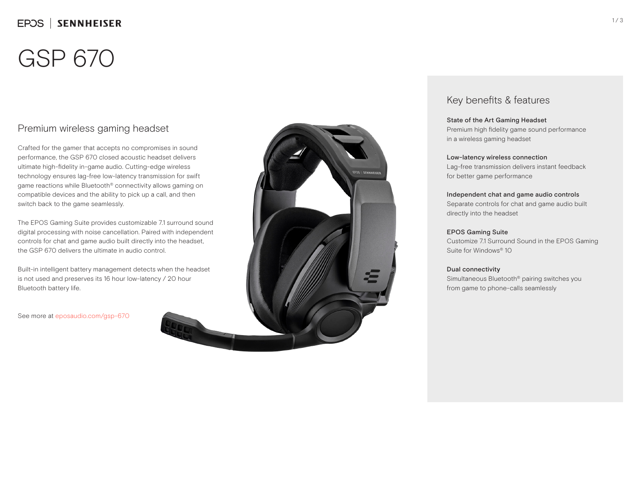## EPOS | SENNHEISER

# GSP 670

### Premium wireless gaming headset

Crafted for the gamer that accepts no compromises in sound performance, the GSP 670 closed acoustic headset delivers ultimate high-fidelity in-game audio. Cutting-edge wireless technology ensures lag-free low-latency transmission for swift game reactions while Bluetooth® connectivity allows gaming on compatible devices and the ability to pick up a call, and then switch back to the game seamlessly.

The EPOS Gaming Suite provides customizable 7.1 surround sound digital processing with noise cancellation. Paired with independent controls for chat and game audio built directly into the headset, the GSP 670 delivers the ultimate in audio control.

Built-in intelligent battery management detects when the headset is not used and preserves its 16 hour low-latency / 20 hour Bluetooth battery life.

See more at eposaudio.com/gsp-670



### Key benefits & features

### State of the Art Gaming Headset

Premium high fidelity game sound performance in a wireless gaming headset

#### Low-latency wireless connection

Lag-free transmission delivers instant feedback for better game performance

### Independent chat and game audio controls

Separate controls for chat and game audio built directly into the headset

### EPOS Gaming Suite

Customize 7.1 Surround Sound in the EPOS Gaming Suite for Windows® 10

### Dual connectivity

Simultaneous Bluetooth® pairing switches you from game to phone-calls seamlessly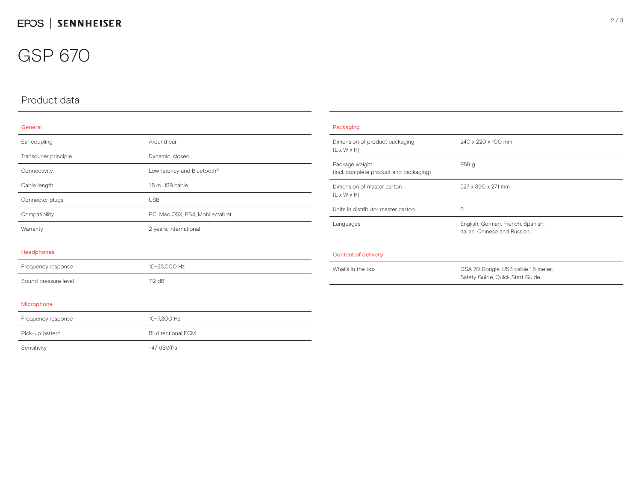## GSP 670

## Product data

### General

| Ear coupling         | Around ear                      |
|----------------------|---------------------------------|
| Transducer principle | Dynamic, closed                 |
| Connectivity         | Low-latency and Bluetooth®      |
| Cable length         | 1.5 m USB cable                 |
| Connector plugs      | <b>USB</b>                      |
| Compatibility        | PC, Mac OSX, PS4, Mobile/tablet |
| Warranty             | 2 years, international          |
|                      |                                 |

#### Headphones

| Frequency response   | 10-23.000 Hz |
|----------------------|--------------|
| Sound pressure level | $112$ dB     |

### Microphone

| Frequency response | 10-7.300 Hz        |
|--------------------|--------------------|
| Pick-up pattern    | Bi-directional FCM |
| Sensitivity        | -47 dBV/Pa         |

| Packaging                                                 |                                                                        |
|-----------------------------------------------------------|------------------------------------------------------------------------|
| Dimension of product packaging<br>$(L \times W \times H)$ | 240 x 220 x 100 mm                                                     |
| Package weight<br>(incl. complete product and packaging)  | 959q                                                                   |
| Dimension of master carton<br>$(L \times W \times H)$     | 527 x 390 x 271 mm                                                     |
| Units in distributor master carton                        | 6                                                                      |
| Languages                                                 | English, German, French, Spanish,<br>Italian, Chinese and Russian      |
| Content of delivery                                       |                                                                        |
| What's in the box                                         | GSA 70 Dongle, USB cable 1.5 meter,<br>Safety Guide, Quick Start Guide |